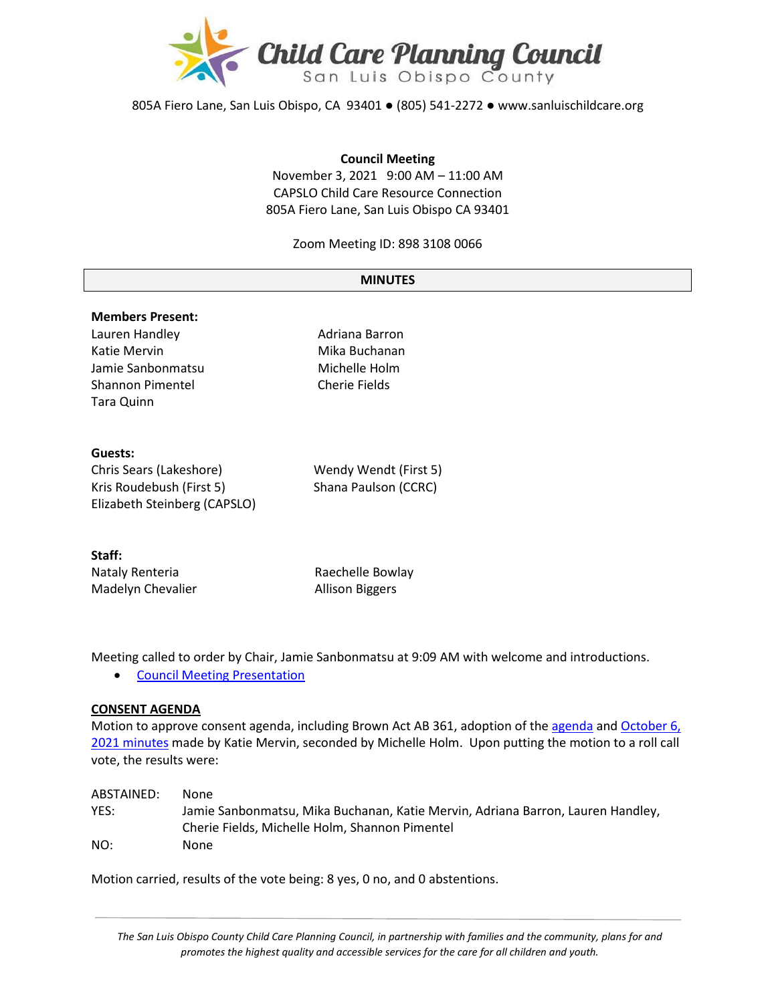

805A Fiero Lane, San Luis Obispo, CA 93401 ● (805) 541-2272 ● www.sanluischildcare.org

#### **Council Meeting**

November 3, 2021 9:00 AM – 11:00 AM CAPSLO Child Care Resource Connection 805A Fiero Lane, San Luis Obispo CA 93401

Zoom Meeting ID: 898 3108 0066

#### **MINUTES**

## **Members Present:** Lauren Handley **Adriana Barron** Katie Mervin **Mika Buchanan** Jamie Sanbonmatsu Michelle Holm Shannon Pimentel **Cherie Fields** Tara Quinn

#### **Guests:**

| Chris Sears (Lakeshore)      | Wendy Wendt (First 5) |
|------------------------------|-----------------------|
| Kris Roudebush (First 5)     | Shana Paulson (CCRC)  |
| Elizabeth Steinberg (CAPSLO) |                       |

# **Staff:**

| Nataly Renteria   | Raechelle Bowlay       |
|-------------------|------------------------|
| Madelyn Chevalier | <b>Allison Biggers</b> |

Meeting called to order by Chair, Jamie Sanbonmatsu at 9:09 AM with welcome and introductions.

• [Council Meeting Presentation](https://www.canva.com/design/DAEt9LrEowQ/diCFaPiBKNWtQMEv-VEZkA/view?utm_content=DAEt9LrEowQ&utm_campaign=designshare&utm_medium=link&utm_source=publishsharelink)

#### **CONSENT AGENDA**

Motion to approve consent agenda, including Brown Act AB 361, adoption of th[e agenda](https://drive.google.com/file/d/1Ej8tLDgJddHXOdj5cdTfDAFlGLr7mOMB/view?usp=sharing) and October 6, [2021 minutes](https://drive.google.com/file/d/1H1Kou2DKAfC0uprqbxjPj2AG5Ioar4QF/view?usp=sharing) made by Katie Mervin, seconded by Michelle Holm. Upon putting the motion to a roll call vote, the results were:

| ABSTAINED: | None                                                                                                                              |
|------------|-----------------------------------------------------------------------------------------------------------------------------------|
| YES:       | Jamie Sanbonmatsu, Mika Buchanan, Katie Mervin, Adriana Barron, Lauren Handley,<br>Cherie Fields, Michelle Holm, Shannon Pimentel |
| NO:        | None                                                                                                                              |

Motion carried, results of the vote being: 8 yes, 0 no, and 0 abstentions.

*The San Luis Obispo County Child Care Planning Council, in partnership with families and the community, plans for and promotes the highest quality and accessible services for the care for all children and youth.*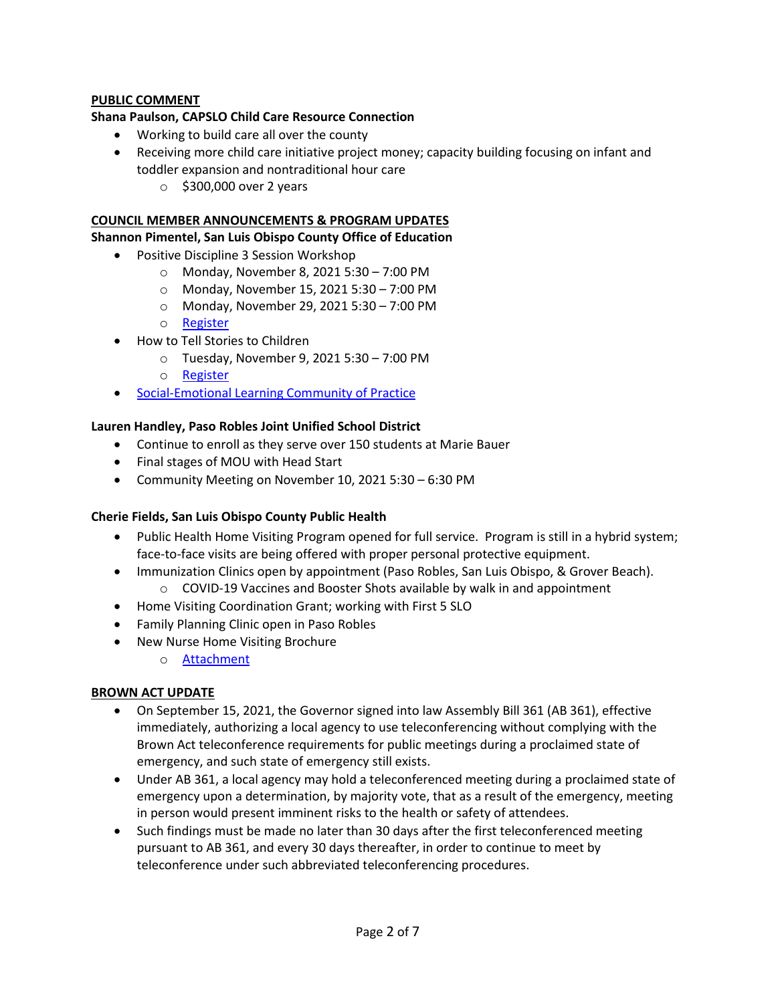## **PUBLIC COMMENT**

#### **Shana Paulson, CAPSLO Child Care Resource Connection**

- Working to build care all over the county
- Receiving more child care initiative project money; capacity building focusing on infant and toddler expansion and nontraditional hour care
	- o \$300,000 over 2 years

#### **COUNCIL MEMBER ANNOUNCEMENTS & PROGRAM UPDATES**

#### **Shannon Pimentel, San Luis Obispo County Office of Education**

- Positive Discipline 3 Session Workshop
	- o Monday, November 8, 2021 5:30 7:00 PM
	- o Monday, November 15, 2021 5:30 7:00 PM
	- o Monday, November 29, 2021 5:30 7:00 PM
	- o [Register](https://slocoe.k12oms.org/964-211066)
- How to Tell Stories to Children
	- o Tuesday, November 9, 2021 5:30 7:00 PM
	- o [Register](https://slocoe.k12oms.org/964-211775)
- Social-[Emotional Learning Community of Practice](https://drive.google.com/file/d/1zHIMO2bSyS9jFue_fvfxVKByla6soPMO/view)

#### **Lauren Handley, Paso Robles Joint Unified School District**

- Continue to enroll as they serve over 150 students at Marie Bauer
- Final stages of MOU with Head Start
- Community Meeting on November 10, 2021 5:30 6:30 PM

#### **Cherie Fields, San Luis Obispo County Public Health**

- Public Health Home Visiting Program opened for full service. Program is still in a hybrid system; face-to-face visits are being offered with proper personal protective equipment.
- Immunization Clinics open by appointment (Paso Robles, San Luis Obispo, & Grover Beach).
	- $\circ$  COVID-19 Vaccines and Booster Shots available by walk in and appointment
- Home Visiting Coordination Grant; working with First 5 SLO
- Family Planning Clinic open in Paso Robles
- New Nurse Home Visiting Brochure
	- o Attachment

#### **BROWN ACT UPDATE**

- On September 15, 2021, the Governor signed into law Assembly Bill 361 (AB 361), effective immediately, authorizing a local agency to use teleconferencing without complying with the Brown Act teleconference requirements for public meetings during a proclaimed state of emergency, and such state of emergency still exists.
- Under AB 361, a local agency may hold a teleconferenced meeting during a proclaimed state of emergency upon a determination, by majority vote, that as a result of the emergency, meeting in person would present imminent risks to the health or safety of attendees.
- Such findings must be made no later than 30 days after the first teleconferenced meeting pursuant to AB 361, and every 30 days thereafter, in order to continue to meet by teleconference under such abbreviated teleconferencing procedures.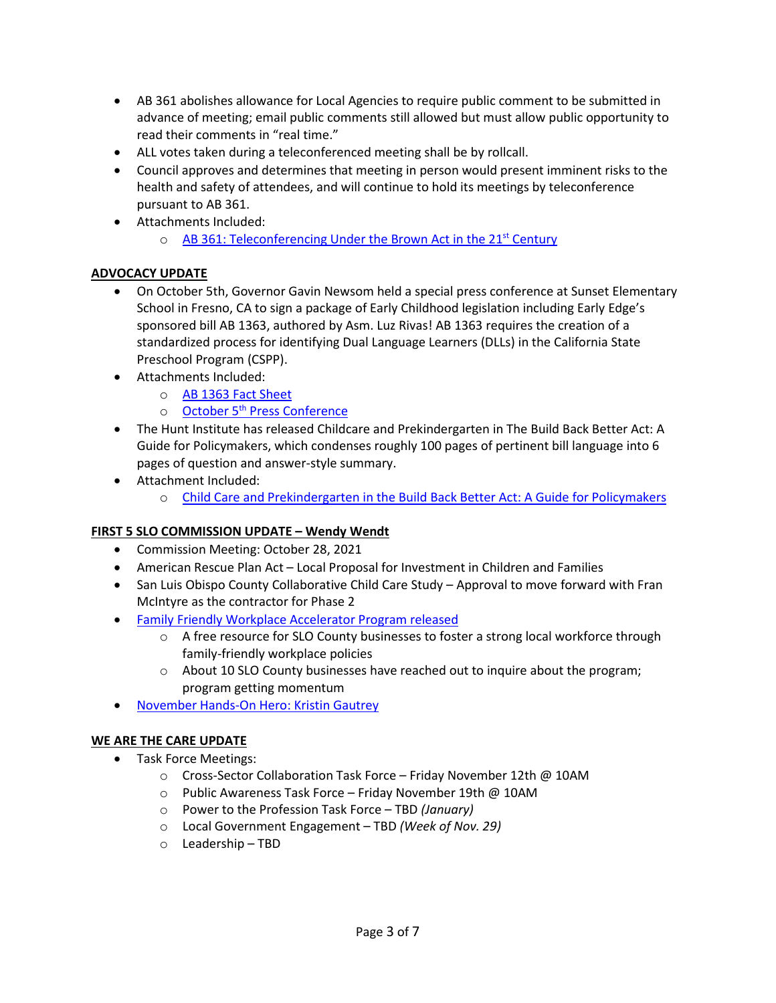- AB 361 abolishes allowance for Local Agencies to require public comment to be submitted in advance of meeting; email public comments still allowed but must allow public opportunity to read their comments in "real time."
- ALL votes taken during a teleconferenced meeting shall be by rollcall.
- Council approves and determines that meeting in person would present imminent risks to the health and safety of attendees, and will continue to hold its meetings by teleconference pursuant to AB 361.
- Attachments Included:
	- $\circ$  AB 361: Teleconferencing Under the Brown Act in the 21<sup>st</sup> Century

#### **ADVOCACY UPDATE**

- On October 5th, Governor Gavin Newsom held a special press conference at Sunset Elementary School in Fresno, CA to sign a package of Early Childhood legislation including Early Edge's sponsored bill AB 1363, authored by Asm. Luz Rivas! AB 1363 requires the creation of a standardized process for identifying Dual Language Learners (DLLs) in the California State Preschool Program (CSPP).
- Attachments Included:
	- o [AB 1363 Fact Sheet](https://earlyedgecalifornia.org/wp-content/uploads/2021/05/AB-1363-Luz-Rivas-Factsheet_FINAL.pdf)
	- o October 5<sup>th</sup> [Press Conference](https://www.youtube.com/watch?v=UeIc68AEyf8)
- The Hunt Institute ha[s released Childcare and Prekindergarten in The Build Back Better Act: A](https://hunt-institute.us15.list-manage.com/track/click?u=f6567f26104143bfe6368b716&id=fafedbaf90&e=3457bec4dd)  [Guide for Policymakers,](https://hunt-institute.us15.list-manage.com/track/click?u=f6567f26104143bfe6368b716&id=98b9f3c701&e=3457bec4dd) which condenses roughly 100 pages of pertinent bill language into 6 pages of question and answer-style summary.
- Attachment Included:
	- o [Child Care and Prekindergarten in the Build Back Better Act: A Guide for Policym](https://hunt-institute.org/wp-content/uploads/2021/11/Hunt-Institute-Build-Back-Better-Guide-for-Policymakers-11.1.21-1.pdf?utm_source=Master+List&utm_campaign=fb83aab416-EMAIL_CAMPAIGN_2019_10_29_09_12_COPY_02&utm_medium=email&utm_term=0_3899c3c7c1-fb83aab416-221972482)akers

## **FIRST 5 SLO COMMISSION UPDATE – Wendy Wendt**

- Commission Meeting: October 28, 2021
- American Rescue Plan Act Local Proposal for Investment in Children and Families
- San Luis Obispo County Collaborative Child Care Study Approval to move forward with Fran McIntyre as the contractor for Phase 2
- [Family Friendly Workplace Accelerator Program released](https://slochamber.org/slo-chamber-announces-new-free-family-friendly-workplace-accelerator-program/)
	- $\circ$  A free resource for SLO County businesses to foster a strong local workforce through family-friendly workplace policies
	- $\circ$  About 10 SLO County businesses have reached out to inquire about the program; program getting momentum
- November Hands-On Hero: [Kristin Gautrey](https://storage.googleapis.com/first5slo-org/uploads/Nov%202021%20Press%20Ready%20Hands-on%20Hero%20Profile.pdf)

## **WE ARE THE CARE UPDATE**

- Task Force Meetings:
	- $\circ$  Cross-Sector Collaboration Task Force Friday November 12th @ 10AM
	- o Public Awareness Task Force Friday November 19th @ 10AM
	- o Power to the Profession Task Force TBD *(January)*
	- o Local Government Engagement TBD *(Week of Nov. 29)*
	- o Leadership TBD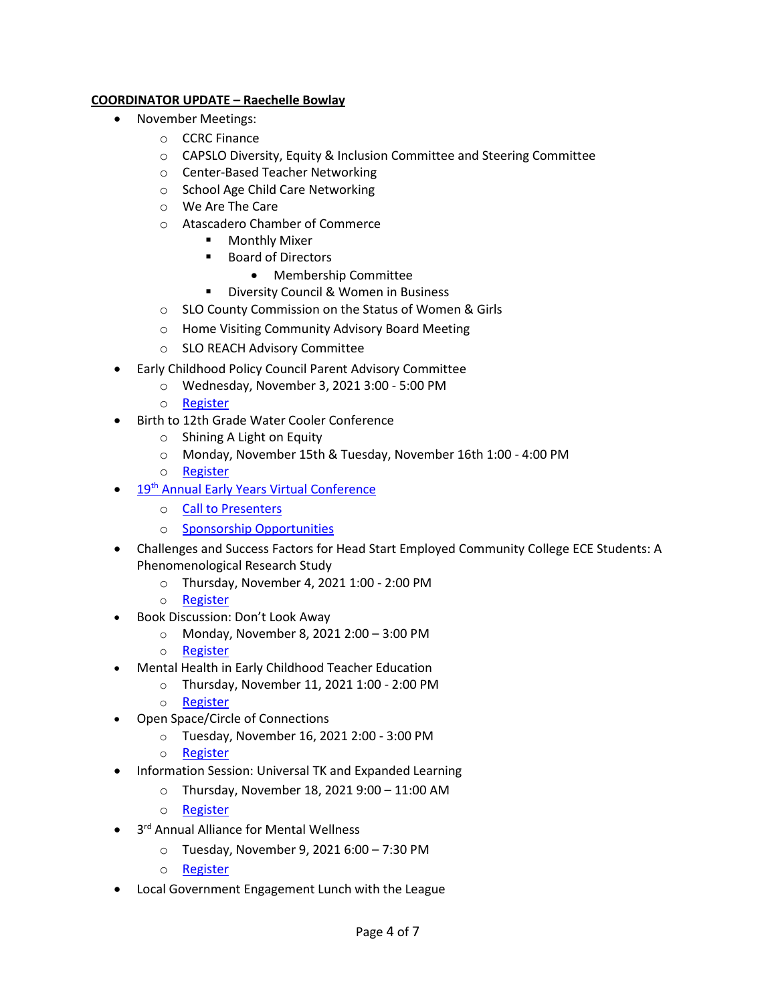## **COORDINATOR UPDATE – Raechelle Bowlay**

- November Meetings:
	- o CCRC Finance
	- o CAPSLO Diversity, Equity & Inclusion Committee and Steering Committee
	- o Center-Based Teacher Networking
	- o School Age Child Care Networking
	- o We Are The Care
	- o Atascadero Chamber of Commerce
		- **•** Monthly Mixer
		- Board of Directors
			- Membership Committee
			- Diversity Council & Women in Business
	- o SLO County Commission on the Status of Women & Girls
	- o Home Visiting Community Advisory Board Meeting
	- o SLO REACH Advisory Committee
- Early Childhood Policy Council Parent Advisory Committee
	- o Wednesday, November 3, 2021 3:00 5:00 PM
	- o [Register](https://wested.zoom.us/webinar/register/WN_dhRlZylKTueVASqIBeRJyg)
- Birth to 12th Grade Water Cooler Conference
	- o Shining A Light on Equity
	- o Monday, November 15th & Tuesday, November 16th 1:00 4:00 PM
	- o [Register](https://www.advancementprojectca.org/birth-to-12th-grade-water-cooler-conference-shining-a-light-on-equity?emci=60b4d6a6-352c-ec11-981f-c896653b9208&emdi=9021b429-092d-ec11-981f-c896653b9208&ceid=10046063)
- 19<sup>th</sup> [Annual Early Years Virtual Conference](https://files.constantcontact.com/17997e59001/cca1aecf-ab6e-45c2-9cea-5b1399814e8d.pdf)
	- o [Call to Presenters](https://docs.google.com/forms/d/e/1FAIpQLSc1EOpYxkESxPSlNghoeeJBupnH8eyE0Qs_NLFCtLpHuVWjNA/viewform)
	- o [Sponsorship Opportunities](https://docs.google.com/forms/d/e/1FAIpQLSeKUOtQg6xemYwkAST5ozXcgyrCgUF_pESBxbV9ovuQA8Wm4w/closedform)
- Challenges and Success Factors for Head Start Employed Community College ECE Students: A Phenomenological Research Study
	- o Thursday, November 4, 2021 1:00 2:00 PM
	- o [Register](https://accessece.org/event-4475369/Registration)
- Book Discussion: Don't Look Away
	- o Monday, November 8, 2021 2:00 3:00 PM
	- o [Register](https://accessece.org/event-4475421/Registration)
- Mental Health in Early Childhood Teacher Education
	- o Thursday, November 11, 2021 1:00 2:00 PM
	- o [Register](https://accessece.org/event-4475386/Registration)
- Open Space/Circle of Connections
	- o Tuesday, November 16, 2021 2:00 3:00 PM
	- o [Register](https://accessece.org/event-4475395/Registration)
- Information Session: Universal TK and Expanded Learning
	- o Thursday, November 18, 2021 9:00 11:00 AM
	- o [Register](https://vcoe.k12oms.org/1618-212263)
- 3<sup>rd</sup> Annual Alliance for Mental Wellness
	- o Tuesday, November 9, 2021 6:00 7:30 PM
	- o [Register](https://us06web.zoom.us/webinar/register/WN_wKX-QpErRBeO7xn0Pvps6A)
- Local Government Engagement Lunch with the League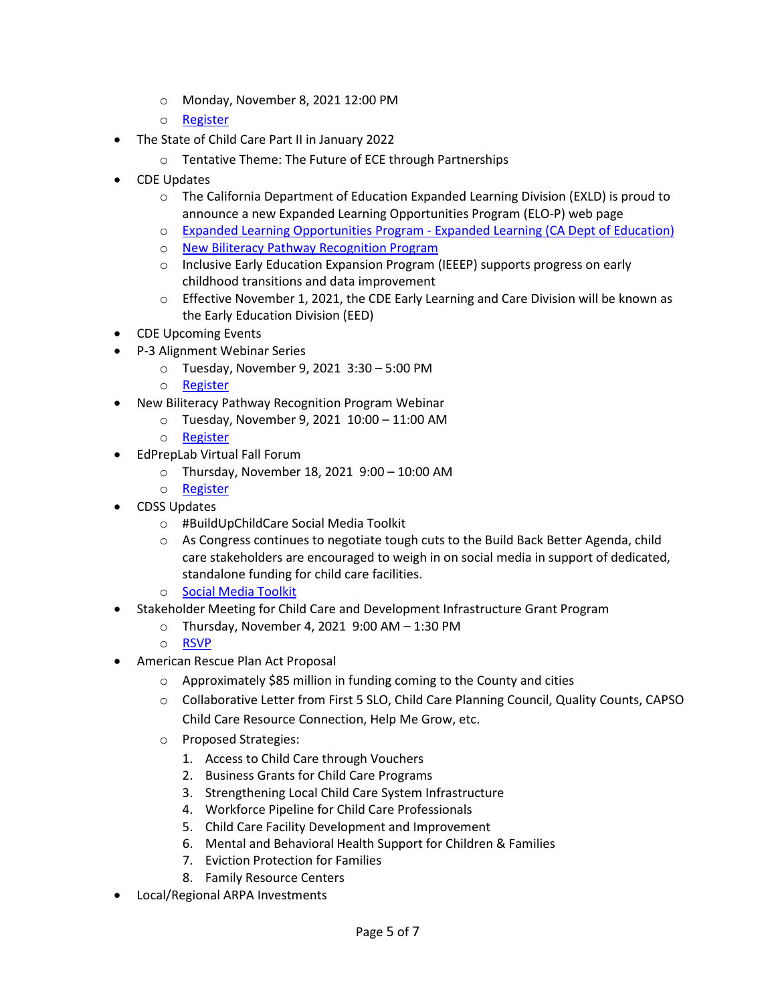- o Monday, November 8, 2021 12:00 PM
- o [Register](https://my.lwv.org/california/san-luis-obispo-county/event/very-important-webinar-county-redistricting-please-attend)
- The State of Child Care Part II in January 2022
	- o Tentative Theme: The Future of ECE through Partnerships
- CDE Updates
	- $\circ$  The California Department of Education Expanded Learning Division (EXLD) is proud to announce a new Expanded Learning Opportunities Program (ELO-P) web page
	- o [Expanded Learning Opportunities Program](https://www.cde.ca.gov/ls/ex/elopinfo.asp)  Expanded Learning (CA Dept of Education)
	- o [New Biliteracy Pathway Recognition Program](https://www.cde.ca.gov/sp/el/er/biltrcypathwy.asp)
	- o Inclusive Early Education Expansion Program (IEEEP) supports progress on early childhood transitions and data improvement
	- o Effective November 1, 2021, the CDE Early Learning and Care Division will be known as the Early Education Division (EED)
- CDE Upcoming Events
- P-3 Alignment Webinar Series
	- o Tuesday, November 9, 2021 3:30 5:00 PM
	- o [Register](https://us02web.zoom.us/webinar/register/WN_woDs1lZXT3e7DRybTbfRng)
- New Biliteracy Pathway Recognition Program Webinar
	- o Tuesday, November 9, 2021 10:00 11:00 AM
	- o [Register](https://us02web.zoom.us/webinar/register/WN_JaeP5o6oTCKr4BSEGLpvag)
- EdPrepLab Virtual Fall Forum
	- o Thursday, November 18, 2021 9:00 10:00 AM
	- o [Register](https://www.surveymonkey.com/r/HR2FD2V)
- CDSS Updates
	- o #BuildUpChildCare Social Media Toolkit
	- $\circ$  As Congress continues to negotiate tough cuts to the Build Back Better Agenda, child care stakeholders are encouraged to weigh in on social media in support of dedicated, standalone funding for child care facilities.
	- o [Social Media Toolkit](https://www.ncfn.org/blog/buildupchildcare-social-media-toolkit)
- Stakeholder Meeting for Child Care and Development Infrastructure Grant Program
	- o Thursday, November 4, 2021 9:00 AM 1:30 PM
	- o [RSVP](mailto:CCDDFacilities@dss.ca.gov)
- American Rescue Plan Act Proposal
	- o Approximately \$85 million in funding coming to the County and cities
	- o Collaborative Letter from First 5 SLO, Child Care Planning Council, Quality Counts, CAPSO Child Care Resource Connection, Help Me Grow, etc.
	- o Proposed Strategies:
		- 1. Access to Child Care through Vouchers
		- 2. Business Grants for Child Care Programs
		- 3. Strengthening Local Child Care System Infrastructure
		- 4. Workforce Pipeline for Child Care Professionals
		- 5. Child Care Facility Development and Improvement
		- 6. Mental and Behavioral Health Support for Children & Families
		- 7. Eviction Protection for Families
		- 8. Family Resource Centers
- Local/Regional ARPA Investments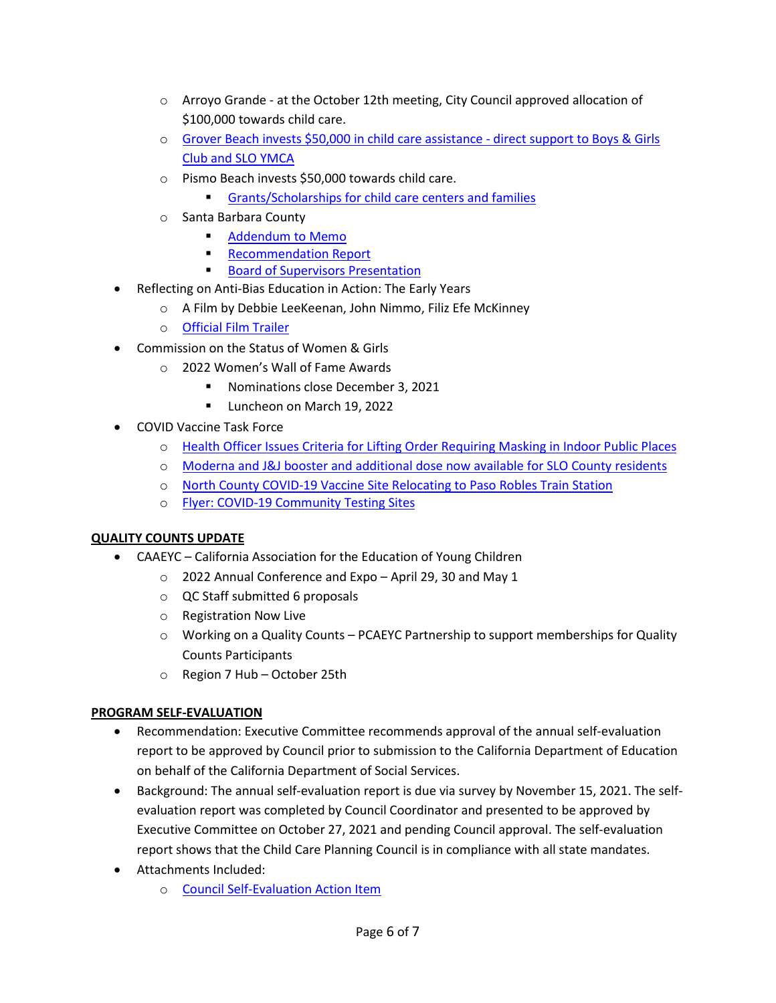- $\circ$  Arroyo Grande at the October 12th meeting, City Council approved allocation of \$100,000 towards child care.
- o [Grover Beach invests \\$50,000 in child care assistance](https://www.newtimesslo.com/sanluisobispo/grover-beach-invests-50000-in-child-care-assistance/Content?oid=11628432&fbclid=IwAR1o6_3FSKtxiCARnsJrrnRvp_qGtaLfuW5tn8Q4O7tJRQPQrdCumtokvqA)  direct support to Boys & Girls [Club and SLO YMCA](https://www.newtimesslo.com/sanluisobispo/grover-beach-invests-50000-in-child-care-assistance/Content?oid=11628432&fbclid=IwAR1o6_3FSKtxiCARnsJrrnRvp_qGtaLfuW5tn8Q4O7tJRQPQrdCumtokvqA)
- o Pismo Beach invests \$50,000 towards child care.
	- [Grants/Scholarships for child care centers and families](https://drive.google.com/file/d/14SJVxYZsbh1ffbwiKQo9cy1arC3lzfoa/view)
- o Santa Barbara County
	- **[Addendum to Memo](https://drive.google.com/file/d/19v54lwgle81hDgzBAnG4TixbOkNwYTC5/view?usp=sharing)**
	- [Recommendation Report](https://drive.google.com/file/d/1JBiySxW7NrnaDdfgTBX7T9xcYI0-jTCV/view?usp=sharing)
	- **[Board of Supervisors Presentation](https://drive.google.com/file/d/12rSJF9_oynLLzCzvb-waLPSARuBISpa_/view?usp=sharing)**
- Reflecting on Anti-Bias Education in Action: The Early Years
	- o A Film by Debbie LeeKeenan, John Nimmo, Filiz Efe McKinney
	- o [Official Film Trailer](https://www.antibiasleadersece.com/the-film-reflecting-on-anti-bias-education-in-action/)
- Commission on the Status of Women & Girls
	- o 2022 Women's Wall of Fame Awards
		- Nominations close December 3, 2021
		- **Luncheon on March 19, 2022**
- COVID Vaccine Task Force
	- o [Health Officer Issues Criteria for Lifting Order Requiring Masking in Indoor Public Places](https://drive.google.com/file/d/1_47QqLWv0e92n5-I9lxjNsnPmqvT9SWA/view?usp=sharing)
	- o [Moderna and J&J booster and additional dose now available for SLO County residents](https://www.slocounty.ca.gov/Departments/Health-Agency/Public-Health/Department-News/COVID-19-Updates/COVID-19-Vaccine-Updates/COVID-19-Vaccine-Boosters-Now-Available-to-More-Sa.aspx)
	- o North County COVID-19 [Vaccine Site Relocating to Paso Robles Train Station](https://drive.google.com/file/d/1u0szt2JKKXpj3bJv801b3JO33xB1eveT/view)
	- o Flyer: COVID-[19 Community Testing Sites](https://drive.google.com/file/d/1PCr26xLtiVzId9HnOEpZLKiobH-pWstS/view)

## **QUALITY COUNTS UPDATE**

- CAAEYC California Association for the Education of Young Children
	- o 2022 Annual Conference and Expo April 29, 30 and May 1
	- o QC Staff submitted 6 proposals
	- o Registration Now Live
	- o Working on a Quality Counts PCAEYC Partnership to support memberships for Quality Counts Participants
	- o Region 7 Hub October 25th

## **PROGRAM SELF-EVALUATION**

- Recommendation: Executive Committee recommends approval of the annual self-evaluation report to be approved by Council prior to submission to the California Department of Education on behalf of the California Department of Social Services.
- Background: The annual self-evaluation report is due via survey by November 15, 2021. The selfevaluation report was completed by Council Coordinator and presented to be approved by Executive Committee on October 27, 2021 and pending Council approval. The self-evaluation report shows that the Child Care Planning Council is in compliance with all state mandates.
- Attachments Included:
	- o Council Self-[Evaluation Action Item](https://drive.google.com/file/d/1hzqcQ-ulLPyUU0Xfbx6_G3klJGC7cD8M/view?usp=sharing)